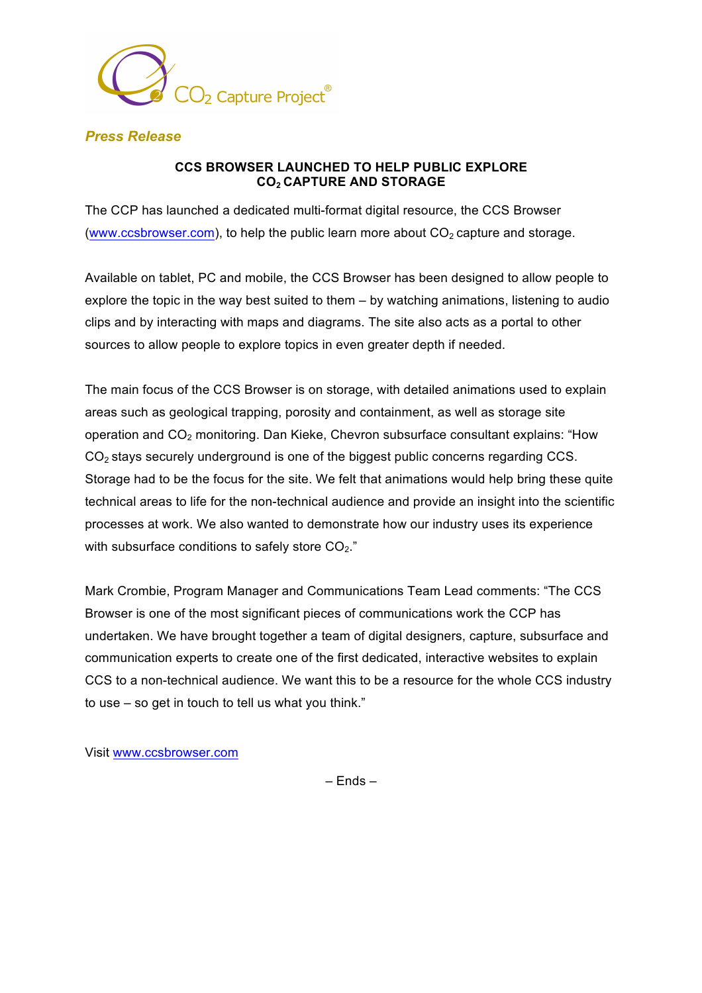

## *Press Release*

## **CCS BROWSER LAUNCHED TO HELP PUBLIC EXPLORE CO2 CAPTURE AND STORAGE**

The CCP has launched a dedicated multi-format digital resource, the CCS Browser (www.ccsbrowser.com), to help the public learn more about  $CO<sub>2</sub>$  capture and storage.

Available on tablet, PC and mobile, the CCS Browser has been designed to allow people to explore the topic in the way best suited to them – by watching animations, listening to audio clips and by interacting with maps and diagrams. The site also acts as a portal to other sources to allow people to explore topics in even greater depth if needed.

The main focus of the CCS Browser is on storage, with detailed animations used to explain areas such as geological trapping, porosity and containment, as well as storage site operation and  $CO<sub>2</sub>$  monitoring. Dan Kieke, Chevron subsurface consultant explains: "How CO2 stays securely underground is one of the biggest public concerns regarding CCS. Storage had to be the focus for the site. We felt that animations would help bring these quite technical areas to life for the non-technical audience and provide an insight into the scientific processes at work. We also wanted to demonstrate how our industry uses its experience with subsurface conditions to safely store  $CO<sub>2</sub>$ ."

Mark Crombie, Program Manager and Communications Team Lead comments: "The CCS Browser is one of the most significant pieces of communications work the CCP has undertaken. We have brought together a team of digital designers, capture, subsurface and communication experts to create one of the first dedicated, interactive websites to explain CCS to a non-technical audience. We want this to be a resource for the whole CCS industry to use – so get in touch to tell us what you think."

Visit www.ccsbrowser.com

– Ends –